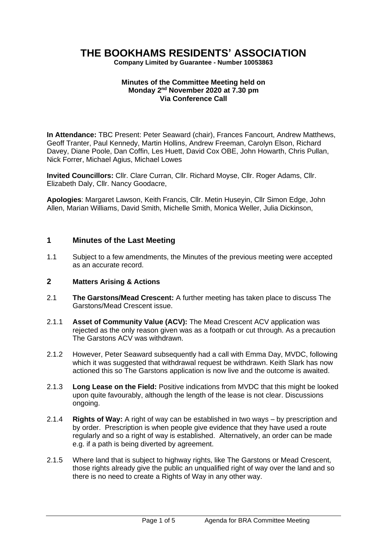# **THE BOOKHAMS RESIDENTS' ASSOCIATION**

**Company Limited by Guarantee - Number 10053863**

#### **Minutes of the Committee Meeting held on Monday 2 nd November 2020 at 7.30 pm Via Conference Call**

**In Attendance:** TBC Present: Peter Seaward (chair), Frances Fancourt, Andrew Matthews, Geoff Tranter, Paul Kennedy, Martin Hollins, Andrew Freeman, Carolyn Elson, Richard Davey, Diane Poole, Dan Coffin, Les Huett, David Cox OBE, John Howarth, Chris Pullan, Nick Forrer, Michael Agius, Michael Lowes

**Invited Councillors:** Cllr. Clare Curran, Cllr. Richard Moyse, Cllr. Roger Adams, Cllr. Elizabeth Daly, Cllr. Nancy Goodacre,

**Apologies**: Margaret Lawson, Keith Francis, Cllr. Metin Huseyin, Cllr Simon Edge, John Allen, Marian Williams, David Smith, Michelle Smith, Monica Weller, Julia Dickinson,

## **1 Minutes of the Last Meeting**

1.1 Subject to a few amendments, the Minutes of the previous meeting were accepted as an accurate record.

#### **2 Matters Arising & Actions**

- 2.1 **The Garstons/Mead Crescent:** A further meeting has taken place to discuss The Garstons/Mead Crescent issue.
- 2.1.1 **Asset of Community Value (ACV):** The Mead Crescent ACV application was rejected as the only reason given was as a footpath or cut through. As a precaution The Garstons ACV was withdrawn.
- 2.1.2 However, Peter Seaward subsequently had a call with Emma Day, MVDC, following which it was suggested that withdrawal request be withdrawn. Keith Slark has now actioned this so The Garstons application is now live and the outcome is awaited.
- 2.1.3 **Long Lease on the Field:** Positive indications from MVDC that this might be looked upon quite favourably, although the length of the lease is not clear. Discussions ongoing.
- 2.1.4 **Rights of Way:** A right of way can be established in two ways by prescription and by order. Prescription is when people give evidence that they have used a route regularly and so a right of way is established. Alternatively, an order can be made e.g. if a path is being diverted by agreement.
- 2.1.5 Where land that is subject to highway rights, like The Garstons or Mead Crescent, those rights already give the public an unqualified right of way over the land and so there is no need to create a Rights of Way in any other way.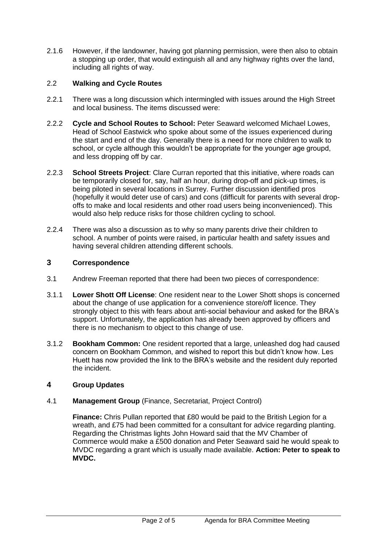2.1.6 However, if the landowner, having got planning permission, were then also to obtain a stopping up order, that would extinguish all and any highway rights over the land, including all rights of way.

# 2.2 **Walking and Cycle Routes**

- 2.2.1 There was a long discussion which intermingled with issues around the High Street and local business. The items discussed were:
- 2.2.2 **Cycle and School Routes to School:** Peter Seaward welcomed Michael Lowes, Head of School Eastwick who spoke about some of the issues experienced during the start and end of the day. Generally there is a need for more children to walk to school, or cycle although this wouldn't be appropriate for the younger age groupd, and less dropping off by car.
- 2.2.3 **School Streets Project**: Clare Curran reported that this initiative, where roads can be temporarily closed for, say, half an hour, during drop-off and pick-up times, is being piloted in several locations in Surrey. Further discussion identified pros (hopefully it would deter use of cars) and cons (difficult for parents with several dropoffs to make and local residents and other road users being inconvenienced). This would also help reduce risks for those children cycling to school.
- 2.2.4 There was also a discussion as to why so many parents drive their children to school. A number of points were raised, in particular health and safety issues and having several children attending different schools.

## **3 Correspondence**

- 3.1 Andrew Freeman reported that there had been two pieces of correspondence:
- 3.1.1 **Lower Shott Off License**: One resident near to the Lower Shott shops is concerned about the change of use application for a convenience store/off licence. They strongly object to this with fears about anti-social behaviour and asked for the BRA's support. Unfortunately, the application has already been approved by officers and there is no mechanism to object to this change of use.
- 3.1.2 **Bookham Common:** One resident reported that a large, unleashed dog had caused concern on Bookham Common, and wished to report this but didn't know how. Les Huett has now provided the link to the BRA's website and the resident duly reported the incident.

# **4 Group Updates**

# 4.1 **Management Group** (Finance, Secretariat, Project Control)

**Finance:** Chris Pullan reported that £80 would be paid to the British Legion for a wreath, and £75 had been committed for a consultant for advice regarding planting. Regarding the Christmas lights John Howard said that the MV Chamber of Commerce would make a £500 donation and Peter Seaward said he would speak to MVDC regarding a grant which is usually made available. **Action: Peter to speak to MVDC.**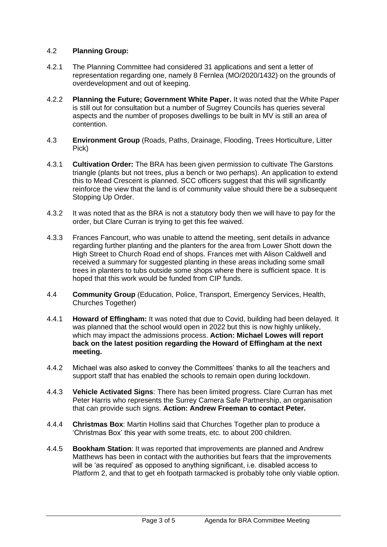## 4.2 **Planning Group:**

- 4.2.1 The Planning Committee had considered 31 applications and sent a letter of representation regarding one, namely 8 Fernlea (MO/2020/1432) on the grounds of overdevelopment and out of keeping.
- 4.2.2 **Planning the Future; Government White Paper.** It was noted that the White Paper is still out for consultation but a number of Sugrrey Councils has queries several aspects and the number of proposes dwellings to be built in MV is still an area of contention.
- 4.3 **Environment Group** (Roads, Paths, Drainage, Flooding, Trees Horticulture, Litter Pick)
- 4.3.1 **Cultivation Order:** The BRA has been given permission to cultivate The Garstons triangle (plants but not trees, plus a bench or two perhaps). An application to extend this to Mead Crescent is planned. SCC officers suggest that this will significantly reinforce the view that the land is of community value should there be a subsequent Stopping Up Order.
- 4.3.2 It was noted that as the BRA is not a statutory body then we will have to pay for the order, but Clare Curran is trying to get this fee waived.
- 4.3.3 Frances Fancourt, who was unable to attend the meeting, sent details in advance regarding further planting and the planters for the area from Lower Shott down the High Street to Church Road end of shops. Frances met with Alison Caldwell and received a summary for suggested planting in these areas including some small trees in planters to tubs outside some shops where there is sufficient space. It is hoped that this work would be funded from CIP funds.
- 4.4 **Community Group** (Education, Police, Transport, Emergency Services, Health, Churches Together)
- 4.4.1 **Howard of Effingham:** It was noted that due to Covid, building had been delayed. It was planned that the school would open in 2022 but this is now highly unlikely, which may impact the admissions process. **Action: Michael Lowes will report back on the latest position regarding the Howard of Effingham at the next meeting.**
- 4.4.2 Michael was also asked to convey the Committees' thanks to all the teachers and support staff that has enabled the schools to remain open during lockdown.
- 4.4.3 **Vehicle Activated Signs**: There has been limited progress. Clare Curran has met Peter Harris who represents the Surrey Camera Safe Partnership, an organisation that can provide such signs. **Action: Andrew Freeman to contact Peter.**
- 4.4.4 **Christmas Box**: Martin Hollins said that Churches Together plan to produce a 'Christmas Box' this year with some treats, etc. to about 200 children.
- 4.4.5 **Bookham Station**: It was reported that improvements are planned and Andrew Matthews has been in contact with the authorities but fears that the improvements will be 'as required' as opposed to anything significant, i.e. disabled access to Platform 2, and that to get eh footpath tarmacked is probably tohe only viable option.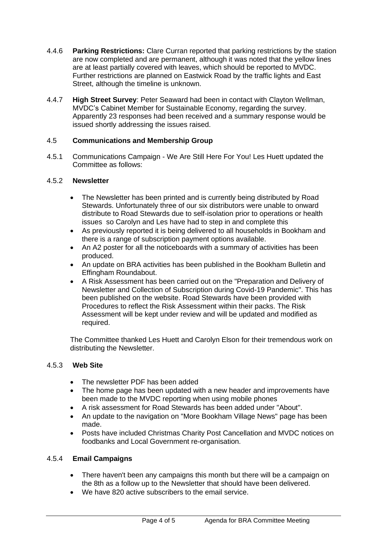- 4.4.6 **Parking Restrictions:** Clare Curran reported that parking restrictions by the station are now completed and are permanent, although it was noted that the yellow lines are at least partially covered with leaves, which should be reported to MVDC. Further restrictions are planned on Eastwick Road by the traffic lights and East Street, although the timeline is unknown.
- 4.4.7 **High Street Survey**: Peter Seaward had been in contact with Clayton Wellman, MVDC's Cabinet Member for Sustainable Economy, regarding the survey. Apparently 23 responses had been received and a summary response would be issued shortly addressing the issues raised.

# 4.5 **Communications and Membership Group**

4.5.1 Communications Campaign - We Are Still Here For You! Les Huett updated the Committee as follows:

## 4.5.2 **Newsletter**

- The Newsletter has been printed and is currently being distributed by Road Stewards. Unfortunately three of our six distributors were unable to onward distribute to Road Stewards due to self-isolation prior to operations or health issues so Carolyn and Les have had to step in and complete this
- As previously reported it is being delivered to all households in Bookham and there is a range of subscription payment options available.
- An A2 poster for all the noticeboards with a summary of activities has been produced.
- An update on BRA activities has been published in the Bookham Bulletin and Effingham Roundabout.
- A Risk Assessment has been carried out on the "Preparation and Delivery of Newsletter and Collection of Subscription during Covid-19 Pandemic". This has been published on the website. Road Stewards have been provided with Procedures to reflect the Risk Assessment within their packs. The Risk Assessment will be kept under review and will be updated and modified as required.

The Committee thanked Les Huett and Carolyn Elson for their tremendous work on distributing the Newsletter.

#### 4.5.3 **Web Site**

- The newsletter PDF has been added
- The home page has been updated with a new header and improvements have been made to the MVDC reporting when using mobile phones
- A risk assessment for Road Stewards has been added under "About".
- An update to the navigation on "More Bookham Village News" page has been made.
- Posts have included Christmas Charity Post Cancellation and MVDC notices on foodbanks and Local Government re-organisation.

# 4.5.4 **Email Campaigns**

- There haven't been any campaigns this month but there will be a campaign on the 8th as a follow up to the Newsletter that should have been delivered.
- We have 820 active subscribers to the email service.